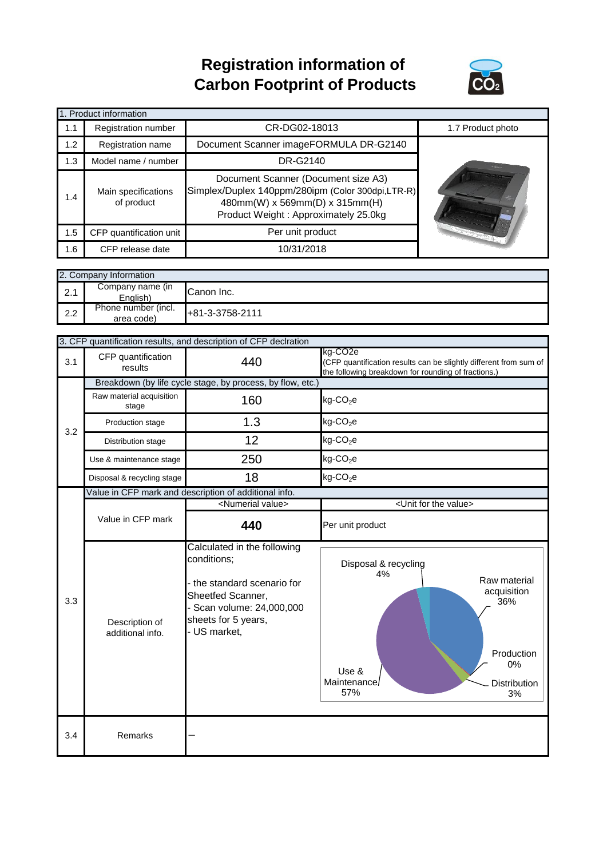## **Registration information of Carbon Footprint of Products**



| 1. Product information |                                   |                                                                                                                                                                    |                   |  |  |
|------------------------|-----------------------------------|--------------------------------------------------------------------------------------------------------------------------------------------------------------------|-------------------|--|--|
| 1.1                    | Registration number               | CR-DG02-18013                                                                                                                                                      | 1.7 Product photo |  |  |
| 1.2                    | Registration name                 | Document Scanner imageFORMULA DR-G2140                                                                                                                             |                   |  |  |
| 1.3                    | Model name / number               | DR-G2140                                                                                                                                                           |                   |  |  |
| 1.4                    | Main specifications<br>of product | Document Scanner (Document size A3)<br>Simplex/Duplex 140ppm/280ipm (Color 300dpi,LTR-R)<br>480mm(W) x 569mm(D) x 315mm(H)<br>Product Weight: Approximately 25.0kg |                   |  |  |
| 1.5                    | CFP quantification unit           | Per unit product                                                                                                                                                   |                   |  |  |
| 1.6                    | CFP release date                  | 10/31/2018                                                                                                                                                         |                   |  |  |

|     | 2. Company Information            |                 |  |  |  |
|-----|-----------------------------------|-----------------|--|--|--|
| 2.1 | Company name (in<br>English)      | Canon Inc.      |  |  |  |
| 2.2 | Phone number (incl.<br>area code) | +81-3-3758-2111 |  |  |  |

|     | 3. CFP quantification results, and description of CFP declration |                                                                                                                                                              |                                                                                                                                                  |  |
|-----|------------------------------------------------------------------|--------------------------------------------------------------------------------------------------------------------------------------------------------------|--------------------------------------------------------------------------------------------------------------------------------------------------|--|
| 3.1 | CFP quantification<br>results                                    | 440                                                                                                                                                          | kg-CO <sub>2</sub> e<br>(CFP quantification results can be slightly different from sum of<br>the following breakdown for rounding of fractions.) |  |
|     | Breakdown (by life cycle stage, by process, by flow, etc.)       |                                                                                                                                                              |                                                                                                                                                  |  |
|     | Raw material acquisition<br>stage                                | 160                                                                                                                                                          | $kg$ -CO <sub>2</sub> e                                                                                                                          |  |
| 3.2 | Production stage                                                 | 1.3                                                                                                                                                          | $kg$ -CO <sub>2</sub> e                                                                                                                          |  |
|     | Distribution stage                                               | 12                                                                                                                                                           | $kg$ -CO <sub>2</sub> e                                                                                                                          |  |
|     | Use & maintenance stage                                          | 250                                                                                                                                                          | $kg$ -CO <sub>2</sub> e                                                                                                                          |  |
|     | Disposal & recycling stage                                       | 18                                                                                                                                                           | kg-CO <sub>2</sub> e                                                                                                                             |  |
|     |                                                                  | Value in CFP mark and description of additional info.                                                                                                        |                                                                                                                                                  |  |
|     |                                                                  | <numerial value=""></numerial>                                                                                                                               | <unit for="" the="" value=""></unit>                                                                                                             |  |
|     | Value in CFP mark                                                | 440                                                                                                                                                          | Per unit product                                                                                                                                 |  |
| 3.3 | Description of<br>additional info.                               | Calculated in the following<br>conditions;<br>the standard scenario for<br>Sheetfed Scanner,<br>Scan volume: 24,000,000<br>sheets for 5 years,<br>US market, | Disposal & recycling<br>4%<br>Raw material<br>acquisition<br>36%<br>Production<br>$0\%$<br>Use &<br>Maintenance/<br>Distribution<br>57%<br>3%    |  |
| 3.4 | Remarks                                                          |                                                                                                                                                              |                                                                                                                                                  |  |